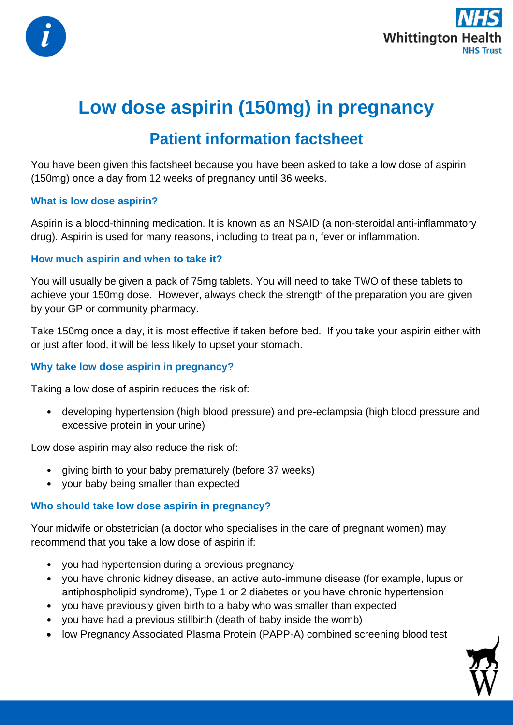



# **Low dose aspirin (150mg) in pregnancy**

# **Patient information factsheet**

You have been given this factsheet because you have been asked to take a low dose of aspirin (150mg) once a day from 12 weeks of pregnancy until 36 weeks.

### **What is low dose aspirin?**

Aspirin is a blood-thinning medication. It is known as an NSAID (a non-steroidal anti-inflammatory drug). Aspirin is used for many reasons, including to treat pain, fever or inflammation.

### **How much aspirin and when to take it?**

You will usually be given a pack of 75mg tablets. You will need to take TWO of these tablets to achieve your 150mg dose. However, always check the strength of the preparation you are given by your GP or community pharmacy.

Take 150mg once a day, it is most effective if taken before bed. If you take your aspirin either with or just after food, it will be less likely to upset your stomach.

#### **Why take low dose aspirin in pregnancy?**

Taking a low dose of aspirin reduces the risk of:

• developing hypertension (high blood pressure) and pre-eclampsia (high blood pressure and excessive protein in your urine)

Low dose aspirin may also reduce the risk of:

- giving birth to your baby prematurely (before 37 weeks)
- your baby being smaller than expected

### **Who should take low dose aspirin in pregnancy?**

Your midwife or obstetrician (a doctor who specialises in the care of pregnant women) may recommend that you take a low dose of aspirin if:

- you had hypertension during a previous pregnancy
- you have chronic kidney disease, an active auto-immune disease (for example, lupus or antiphospholipid syndrome), Type 1 or 2 diabetes or you have chronic hypertension
- you have previously given birth to a baby who was smaller than expected
- you have had a previous stillbirth (death of baby inside the womb)
- low Pregnancy Associated Plasma Protein (PAPP-A) combined screening blood test

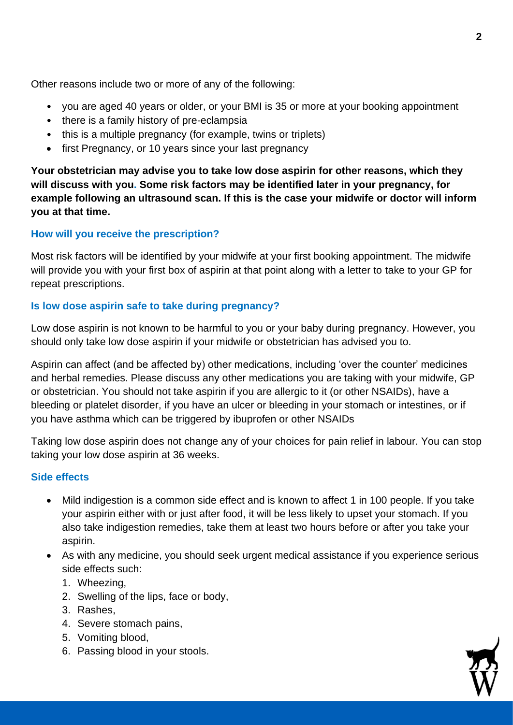Other reasons include two or more of any of the following:

- you are aged 40 years or older, or your BMI is 35 or more at your booking appointment
- there is a family history of pre-eclampsia
- this is a multiple pregnancy (for example, twins or triplets)
- first Pregnancy, or 10 years since your last pregnancy

**Your obstetrician may advise you to take low dose aspirin for other reasons, which they will discuss with you. Some risk factors may be identified later in your pregnancy, for example following an ultrasound scan. If this is the case your midwife or doctor will inform you at that time.**

# **How will you receive the prescription?**

Most risk factors will be identified by your midwife at your first booking appointment. The midwife will provide you with your first box of aspirin at that point along with a letter to take to your GP for repeat prescriptions.

## **Is low dose aspirin safe to take during pregnancy?**

Low dose aspirin is not known to be harmful to you or your baby during pregnancy. However, you should only take low dose aspirin if your midwife or obstetrician has advised you to.

Aspirin can affect (and be affected by) other medications, including 'over the counter' medicines and herbal remedies. Please discuss any other medications you are taking with your midwife, GP or obstetrician. You should not take aspirin if you are allergic to it (or other NSAIDs), have a bleeding or platelet disorder, if you have an ulcer or bleeding in your stomach or intestines, or if you have asthma which can be triggered by ibuprofen or other NSAIDs

Taking low dose aspirin does not change any of your choices for pain relief in labour. You can stop taking your low dose aspirin at 36 weeks.

### **Side effects**

- Mild indigestion is a common side effect and is known to affect 1 in 100 people. If you take your aspirin either with or just after food, it will be less likely to upset your stomach. If you also take indigestion remedies, take them at least two hours before or after you take your aspirin.
- As with any medicine, you should seek urgent medical assistance if you experience serious side effects such:
	- 1. Wheezing,
	- 2. Swelling of the lips, face or body,
	- 3. Rashes,
	- 4. Severe stomach pains,
	- 5. Vomiting blood,
	- 6. Passing blood in your stools.

**2**